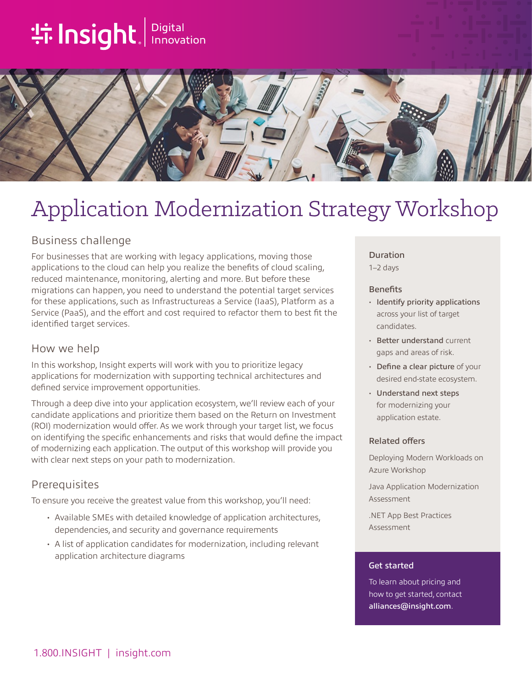# **tilnsight**. Innovation



## Application Modernization Strategy Workshop

## Business challenge

For businesses that are working with legacy applications, moving those applications to the cloud can help you realize the benefits of cloud scaling, reduced maintenance, monitoring, alerting and more. But before these migrations can happen, you need to understand the potential target services for these applications, such as Infrastructureas a Service (IaaS), Platform as a Service (PaaS), and the effort and cost required to refactor them to best fit the identified target services.

### How we help

In this workshop, Insight experts will work with you to prioritize legacy applications for modernization with supporting technical architectures and defined service improvement opportunities.

Through a deep dive into your application ecosystem, we'll review each of your candidate applications and prioritize them based on the Return on Investment (ROI) modernization would offer. As we work through your target list, we focus on identifying the specific enhancements and risks that would define the impact of modernizing each application. The output of this workshop will provide you with clear next steps on your path to modernization.

## **Prerequisites**

To ensure you receive the greatest value from this workshop, you'll need:

- Available SMEs with detailed knowledge of application architectures, dependencies, and security and governance requirements
- A list of application candidates for modernization, including relevant application architecture diagrams

#### Duration

1–2 days

#### **Benefits**

- Identify priority applications across your list of target candidates.
- Better understand current gaps and areas of risk.
- Define a clear picture of your desired end-state ecosystem.
- Understand next steps for modernizing your application estate.

#### Related offers

Deploying Modern Workloads on Azure Workshop

Java Application Modernization Assessment

.NET App Best Practices Assessment

#### Get started

To learn about pricing and how to get started, contact [alliances@insight.com](mailto:alliances@insight.com).